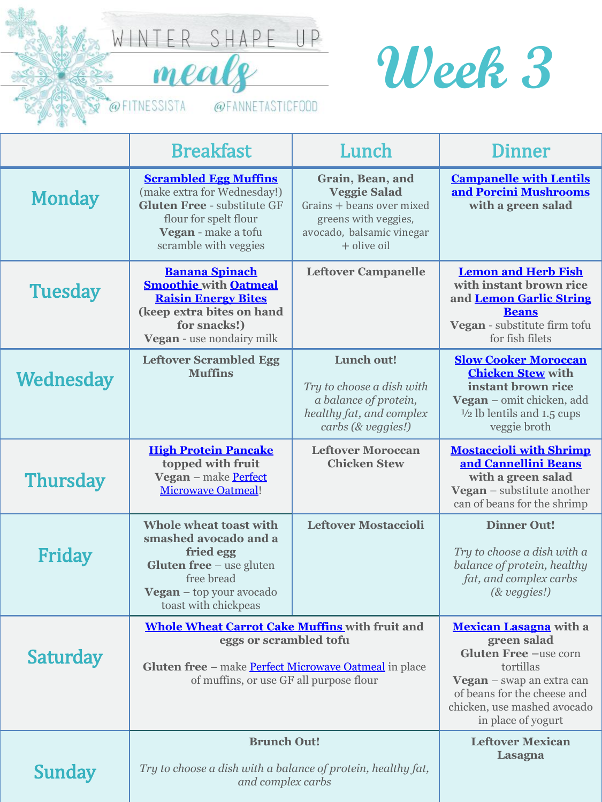

# **Week 3**

|                 | <b>Breakfast</b>                                                                                                                                                                                  | Lunch                                                                                                                                    | Dinner                                                                                                                                                                                                     |
|-----------------|---------------------------------------------------------------------------------------------------------------------------------------------------------------------------------------------------|------------------------------------------------------------------------------------------------------------------------------------------|------------------------------------------------------------------------------------------------------------------------------------------------------------------------------------------------------------|
| <b>Monday</b>   | <b>Scrambled Egg Muffins</b><br>(make extra for Wednesday!)<br><b>Gluten Free - substitute GF</b><br>flour for spelt flour<br>Vegan - make a tofu<br>scramble with veggies                        | Grain, Bean, and<br><b>Veggie Salad</b><br>Grains + beans over mixed<br>greens with veggies,<br>avocado, balsamic vinegar<br>+ olive oil | <b>Campanelle with Lentils</b><br>and Porcini Mushrooms<br>with a green salad                                                                                                                              |
| <b>Tuesday</b>  | <b>Banana Spinach</b><br><b>Smoothie with Oatmeal</b><br><b>Raisin Energy Bites</b><br>(keep extra bites on hand<br>for snacks!)<br>Vegan - use nondairy milk                                     | <b>Leftover Campanelle</b>                                                                                                               | <b>Lemon and Herb Fish</b><br>with instant brown rice<br>and Lemon Garlic String<br><b>Beans</b><br>Vegan - substitute firm tofu<br>for fish filets                                                        |
| Wednesday       | <b>Leftover Scrambled Egg</b><br><b>Muffins</b>                                                                                                                                                   | Lunch out!<br>Try to choose a dish with<br>a balance of protein,<br>healthy fat, and complex<br>carbs (& veggies!)                       | <b>Slow Cooker Moroccan</b><br><b>Chicken Stew with</b><br>instant brown rice<br>Vegan – omit chicken, add<br>$\frac{1}{2}$ lb lentils and 1.5 cups<br>veggie broth                                        |
| <b>Thursday</b> | <b>High Protein Pancake</b><br>topped with fruit<br>Vegan - make Perfect<br><b>Microwave Oatmeal!</b>                                                                                             | <b>Leftover Moroccan</b><br><b>Chicken Stew</b>                                                                                          | <b>Mostaccioli with Shrimp</b><br>and Cannellini Beans<br>with a green salad<br>Vegan - substitute another<br>can of beans for the shrimp                                                                  |
| Friday          | Whole wheat toast with<br>smashed avocado and a<br>fried egg<br><b>Gluten free</b> $-$ use gluten<br>free bread<br><b>Vegan</b> – top your avocado<br>toast with chickpeas                        | <b>Leftover Mostaccioli</b>                                                                                                              | <b>Dinner Out!</b><br>Try to choose a dish with a<br>balance of protein, healthy<br>fat, and complex carbs<br>$(x$ veggies!)                                                                               |
| Saturday        | <b>Whole Wheat Carrot Cake Muffins with fruit and</b><br>eggs or scrambled tofu<br><b>Gluten free</b> – make <b>Perfect Microwave Oatmeal</b> in place<br>of muffins, or use GF all purpose flour |                                                                                                                                          | <b>Mexican Lasagna</b> with a<br>green salad<br><b>Gluten Free -use corn</b><br>tortillas<br>Vegan - swap an extra can<br>of beans for the cheese and<br>chicken, use mashed avocado<br>in place of yogurt |
| <b>Sunday</b>   | <b>Brunch Out!</b><br>Try to choose a dish with a balance of protein, healthy fat,<br>and complex carbs                                                                                           |                                                                                                                                          | <b>Leftover Mexican</b><br>Lasagna                                                                                                                                                                         |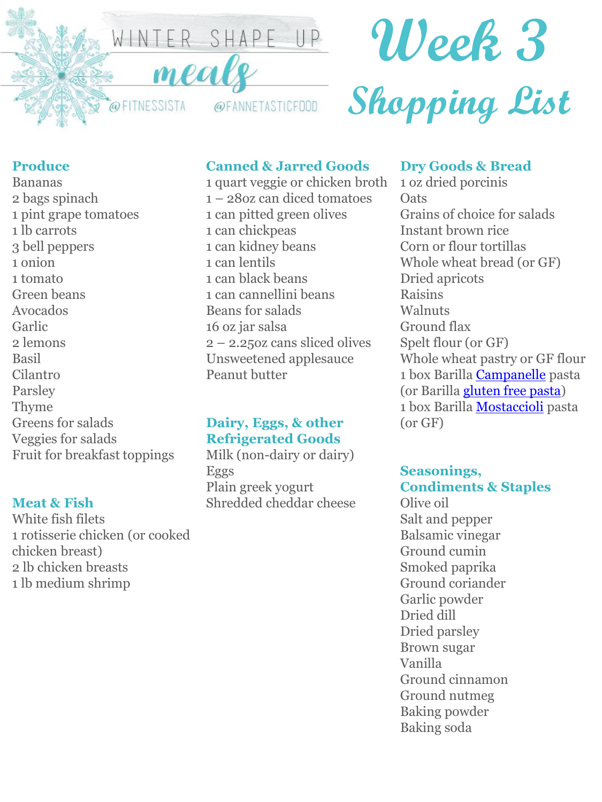

# **Week 3 Shopping List**

# **Produce**

Bananas 2 bags spinach 1 pint grape tomatoes 1 lb carrots 3 bell peppers 1 onion 1 tomato Green beans Avocados Garlic 2 lemons Basil Cilantro Parsley Thyme Greens for salads Veggies for salads Fruit for breakfast toppings

#### **Meat & Fish**

White fish filets 1 rotisserie chicken (or cooked chicken breast) 2 lb chicken breasts 1 lb medium shrimp

# **Canned & Jarred Goods**

1 quart veggie or chicken broth 1 – 28oz can diced tomatoes 1 can pitted green olives 1 can chickpeas 1 can kidney beans 1 can lentils 1 can black beans 1 can cannellini beans Beans for salads 16 oz jar salsa 2 – 2.25oz cans sliced olives Unsweetened applesauce Peanut butter

# **Dairy, Eggs, & other Refrigerated Goods**

Milk (non-dairy or dairy) Eggs Plain greek yogurt Shredded cheddar cheese

# **Dry Goods & Bread**

1 oz dried porcinis **Oats** Grains of choice for salads Instant brown rice Corn or flour tortillas Whole wheat bread (or GF) Dried apricots Raisins Walnuts Ground flax Spelt flour (or GF) Whole wheat pastry or GF flour 1 box Barilla [Campanelle](https://www.barilla.com/en-us/products/pasta/classic-blue-box/campanelle) pasta (or Barilla [gluten free pasta](https://www.barilla.com/en-us/product-results/pasta/range/gluten-free/?sort=alpha)) 1 box Barilla [Mostaccioli](https://www.barilla.com/en-us/products/pasta/classic-blue-box/mostaccioli) pasta (or GF)

#### **Seasonings, Condiments & Staples**

Olive oil Salt and pepper Balsamic vinegar Ground cumin Smoked paprika Ground coriander Garlic powder Dried dill Dried parsley Brown sugar Vanilla Ground cinnamon Ground nutmeg Baking powder Baking soda